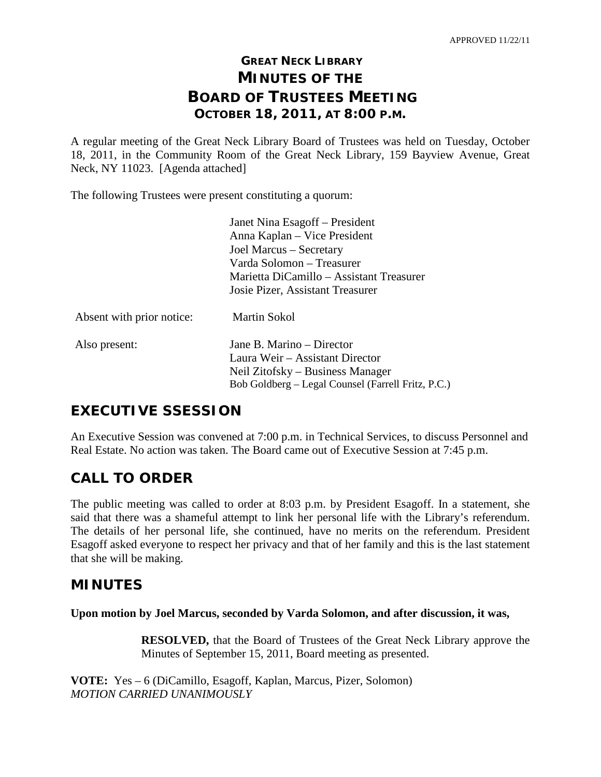# **GREAT NECK LIBRARY MINUTES OF THE BOARD OF TRUSTEES MEETING OCTOBER 18, 2011, AT 8:00 P.M.**

A regular meeting of the Great Neck Library Board of Trustees was held on Tuesday, October 18, 2011, in the Community Room of the Great Neck Library, 159 Bayview Avenue, Great Neck, NY 11023. [Agenda attached]

The following Trustees were present constituting a quorum:

|                           | Janet Nina Esagoff – President                     |
|---------------------------|----------------------------------------------------|
|                           | Anna Kaplan – Vice President                       |
|                           | Joel Marcus – Secretary                            |
|                           | Varda Solomon – Treasurer                          |
|                           | Marietta DiCamillo – Assistant Treasurer           |
|                           | Josie Pizer, Assistant Treasurer                   |
| Absent with prior notice: | Martin Sokol                                       |
| Also present:             | Jane B. Marino – Director                          |
|                           | Laura Weir – Assistant Director                    |
|                           | Neil Zitofsky – Business Manager                   |
|                           | Bob Goldberg – Legal Counsel (Farrell Fritz, P.C.) |
|                           |                                                    |

# **EXECUTIVE SSESSION**

An Executive Session was convened at 7:00 p.m. in Technical Services, to discuss Personnel and Real Estate. No action was taken. The Board came out of Executive Session at 7:45 p.m.

# **CALL TO ORDER**

The public meeting was called to order at 8:03 p.m. by President Esagoff. In a statement, she said that there was a shameful attempt to link her personal life with the Library's referendum. The details of her personal life, she continued, have no merits on the referendum. President Esagoff asked everyone to respect her privacy and that of her family and this is the last statement that she will be making.

## **MINUTES**

**Upon motion by Joel Marcus, seconded by Varda Solomon, and after discussion, it was,**

**RESOLVED,** that the Board of Trustees of the Great Neck Library approve the Minutes of September 15, 2011, Board meeting as presented.

**VOTE:** Yes – 6 (DiCamillo, Esagoff, Kaplan, Marcus, Pizer, Solomon) *MOTION CARRIED UNANIMOUSLY*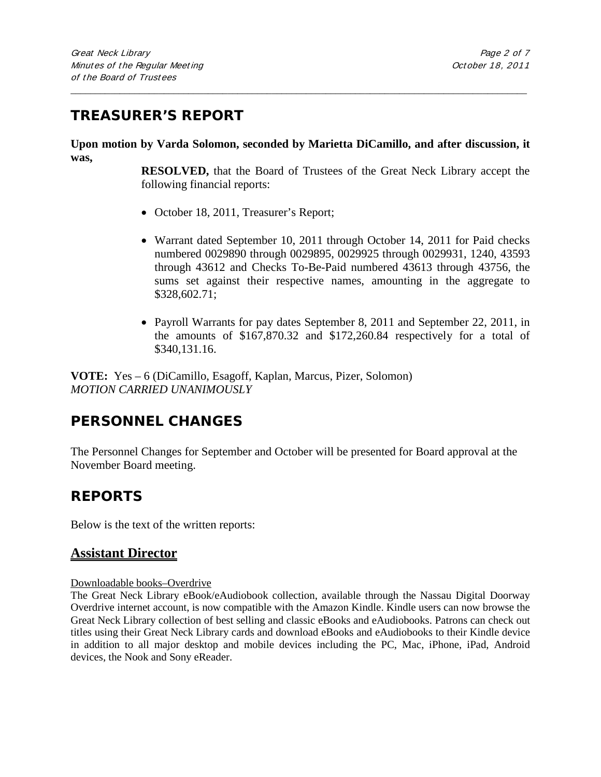# **TREASURER'S REPORT**

**Upon motion by Varda Solomon, seconded by Marietta DiCamillo, and after discussion, it was,**

\_\_\_\_\_\_\_\_\_\_\_\_\_\_\_\_\_\_\_\_\_\_\_\_\_\_\_\_\_\_\_\_\_\_\_\_\_\_\_\_\_\_\_\_\_\_\_\_\_\_\_\_\_\_\_\_\_\_\_\_\_\_\_\_\_\_\_\_\_\_\_\_\_\_\_\_\_\_\_\_\_\_\_\_\_\_\_\_\_\_\_\_\_

**RESOLVED,** that the Board of Trustees of the Great Neck Library accept the following financial reports:

- October 18, 2011, Treasurer's Report;
- Warrant dated September 10, 2011 through October 14, 2011 for Paid checks numbered 0029890 through 0029895, 0029925 through 0029931, 1240, 43593 through 43612 and Checks To-Be-Paid numbered 43613 through 43756, the sums set against their respective names, amounting in the aggregate to \$328,602.71;
- Payroll Warrants for pay dates September 8, 2011 and September 22, 2011, in the amounts of \$167,870.32 and \$172,260.84 respectively for a total of \$340,131.16.

**VOTE:** Yes – 6 (DiCamillo, Esagoff, Kaplan, Marcus, Pizer, Solomon) *MOTION CARRIED UNANIMOUSLY*

# **PERSONNEL CHANGES**

The Personnel Changes for September and October will be presented for Board approval at the November Board meeting.

# **REPORTS**

Below is the text of the written reports:

## **Assistant Director**

#### Downloadable books–Overdrive

The Great Neck Library eBook/eAudiobook collection, available through the Nassau Digital Doorway Overdrive internet account, is now compatible with the Amazon Kindle. Kindle users can now browse the Great Neck Library collection of best selling and classic eBooks and eAudiobooks. Patrons can check out titles using their Great Neck Library cards and download eBooks and eAudiobooks to their Kindle device in addition to all major desktop and mobile devices including the PC, Mac, iPhone, iPad, Android devices, the Nook and Sony eReader.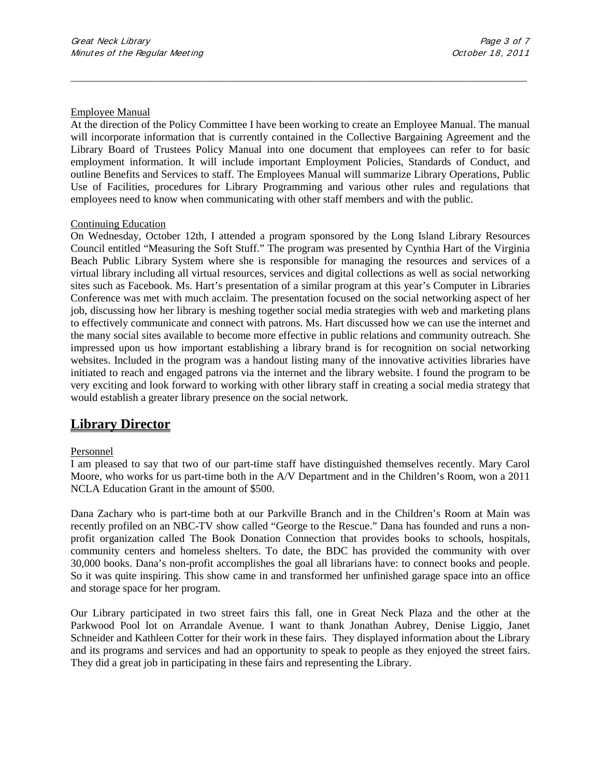#### Employee Manual

At the direction of the Policy Committee I have been working to create an Employee Manual. The manual will incorporate information that is currently contained in the Collective Bargaining Agreement and the Library Board of Trustees Policy Manual into one document that employees can refer to for basic employment information. It will include important Employment Policies, Standards of Conduct, and outline Benefits and Services to staff. The Employees Manual will summarize Library Operations, Public Use of Facilities, procedures for Library Programming and various other rules and regulations that employees need to know when communicating with other staff members and with the public.

\_\_\_\_\_\_\_\_\_\_\_\_\_\_\_\_\_\_\_\_\_\_\_\_\_\_\_\_\_\_\_\_\_\_\_\_\_\_\_\_\_\_\_\_\_\_\_\_\_\_\_\_\_\_\_\_\_\_\_\_\_\_\_\_\_\_\_\_\_\_\_\_\_\_\_\_\_\_\_\_\_\_\_\_\_\_\_\_\_\_\_\_\_

#### Continuing Education

On Wednesday, October 12th, I attended a program sponsored by the Long Island Library Resources Council entitled "Measuring the Soft Stuff." The program was presented by Cynthia Hart of the Virginia Beach Public Library System where she is responsible for managing the resources and services of a virtual library including all virtual resources, services and digital collections as well as social networking sites such as Facebook. Ms. Hart's presentation of a similar program at this year's Computer in Libraries Conference was met with much acclaim. The presentation focused on the social networking aspect of her job, discussing how her library is meshing together social media strategies with web and marketing plans to effectively communicate and connect with patrons. Ms. Hart discussed how we can use the internet and the many social sites available to become more effective in public relations and community outreach. She impressed upon us how important establishing a library brand is for recognition on social networking websites. Included in the program was a handout listing many of the innovative activities libraries have initiated to reach and engaged patrons via the internet and the library website. I found the program to be very exciting and look forward to working with other library staff in creating a social media strategy that would establish a greater library presence on the social network.

## **Library Director**

#### Personnel

I am pleased to say that two of our part-time staff have distinguished themselves recently. Mary Carol Moore, who works for us part-time both in the A/V Department and in the Children's Room, won a 2011 NCLA Education Grant in the amount of \$500.

Dana Zachary who is part-time both at our Parkville Branch and in the Children's Room at Main was recently profiled on an NBC-TV show called "George to the Rescue." Dana has founded and runs a nonprofit organization called The Book Donation Connection that provides books to schools, hospitals, community centers and homeless shelters. To date, the BDC has provided the community with over 30,000 books. Dana's non-profit accomplishes the goal all librarians have: to connect books and people. So it was quite inspiring. This show came in and transformed her unfinished garage space into an office and storage space for her program.

Our Library participated in two street fairs this fall, one in Great Neck Plaza and the other at the Parkwood Pool lot on Arrandale Avenue. I want to thank Jonathan Aubrey, Denise Liggio, Janet Schneider and Kathleen Cotter for their work in these fairs. They displayed information about the Library and its programs and services and had an opportunity to speak to people as they enjoyed the street fairs. They did a great job in participating in these fairs and representing the Library.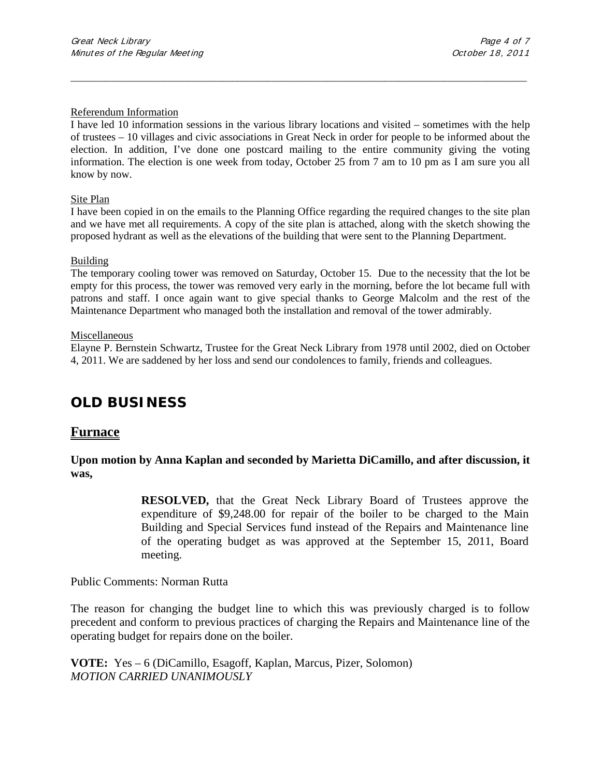#### Referendum Information

I have led 10 information sessions in the various library locations and visited – sometimes with the help of trustees – 10 villages and civic associations in Great Neck in order for people to be informed about the election. In addition, I've done one postcard mailing to the entire community giving the voting information. The election is one week from today, October 25 from 7 am to 10 pm as I am sure you all know by now.

\_\_\_\_\_\_\_\_\_\_\_\_\_\_\_\_\_\_\_\_\_\_\_\_\_\_\_\_\_\_\_\_\_\_\_\_\_\_\_\_\_\_\_\_\_\_\_\_\_\_\_\_\_\_\_\_\_\_\_\_\_\_\_\_\_\_\_\_\_\_\_\_\_\_\_\_\_\_\_\_\_\_\_\_\_\_\_\_\_\_\_\_\_

#### Site Plan

I have been copied in on the emails to the Planning Office regarding the required changes to the site plan and we have met all requirements. A copy of the site plan is attached, along with the sketch showing the proposed hydrant as well as the elevations of the building that were sent to the Planning Department.

#### Building

The temporary cooling tower was removed on Saturday, October 15. Due to the necessity that the lot be empty for this process, the tower was removed very early in the morning, before the lot became full with patrons and staff. I once again want to give special thanks to George Malcolm and the rest of the Maintenance Department who managed both the installation and removal of the tower admirably.

#### Miscellaneous

Elayne P. Bernstein Schwartz, Trustee for the Great Neck Library from 1978 until 2002, died on October 4, 2011. We are saddened by her loss and send our condolences to family, friends and colleagues.

## **OLD BUSINESS**

### **Furnace**

**Upon motion by Anna Kaplan and seconded by Marietta DiCamillo, and after discussion, it was,**

> **RESOLVED,** that the Great Neck Library Board of Trustees approve the expenditure of \$9,248.00 for repair of the boiler to be charged to the Main Building and Special Services fund instead of the Repairs and Maintenance line of the operating budget as was approved at the September 15, 2011, Board meeting.

Public Comments: Norman Rutta

The reason for changing the budget line to which this was previously charged is to follow precedent and conform to previous practices of charging the Repairs and Maintenance line of the operating budget for repairs done on the boiler.

**VOTE:** Yes – 6 (DiCamillo, Esagoff, Kaplan, Marcus, Pizer, Solomon) *MOTION CARRIED UNANIMOUSLY*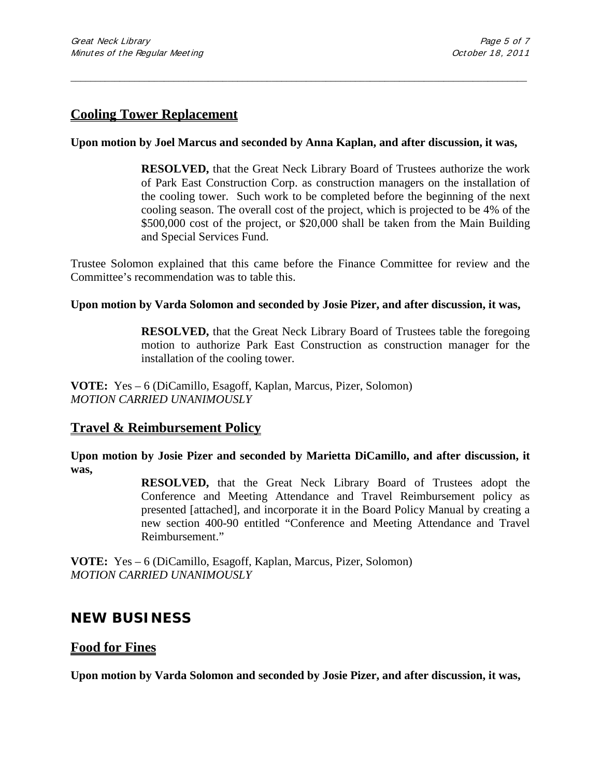## **Cooling Tower Replacement**

### **Upon motion by Joel Marcus and seconded by Anna Kaplan, and after discussion, it was,**

\_\_\_\_\_\_\_\_\_\_\_\_\_\_\_\_\_\_\_\_\_\_\_\_\_\_\_\_\_\_\_\_\_\_\_\_\_\_\_\_\_\_\_\_\_\_\_\_\_\_\_\_\_\_\_\_\_\_\_\_\_\_\_\_\_\_\_\_\_\_\_\_\_\_\_\_\_\_\_\_\_\_\_\_\_\_\_\_\_\_\_\_\_

**RESOLVED,** that the Great Neck Library Board of Trustees authorize the work of Park East Construction Corp. as construction managers on the installation of the cooling tower. Such work to be completed before the beginning of the next cooling season. The overall cost of the project, which is projected to be 4% of the \$500,000 cost of the project, or \$20,000 shall be taken from the Main Building and Special Services Fund.

Trustee Solomon explained that this came before the Finance Committee for review and the Committee's recommendation was to table this.

#### **Upon motion by Varda Solomon and seconded by Josie Pizer, and after discussion, it was,**

**RESOLVED,** that the Great Neck Library Board of Trustees table the foregoing motion to authorize Park East Construction as construction manager for the installation of the cooling tower.

**VOTE:** Yes – 6 (DiCamillo, Esagoff, Kaplan, Marcus, Pizer, Solomon) *MOTION CARRIED UNANIMOUSLY*

### **Travel & Reimbursement Policy**

**Upon motion by Josie Pizer and seconded by Marietta DiCamillo, and after discussion, it was,**

> **RESOLVED,** that the Great Neck Library Board of Trustees adopt the Conference and Meeting Attendance and Travel Reimbursement policy as presented [attached], and incorporate it in the Board Policy Manual by creating a new section 400-90 entitled "Conference and Meeting Attendance and Travel Reimbursement."

**VOTE:** Yes – 6 (DiCamillo, Esagoff, Kaplan, Marcus, Pizer, Solomon) *MOTION CARRIED UNANIMOUSLY*

## **NEW BUSINESS**

### **Food for Fines**

**Upon motion by Varda Solomon and seconded by Josie Pizer, and after discussion, it was,**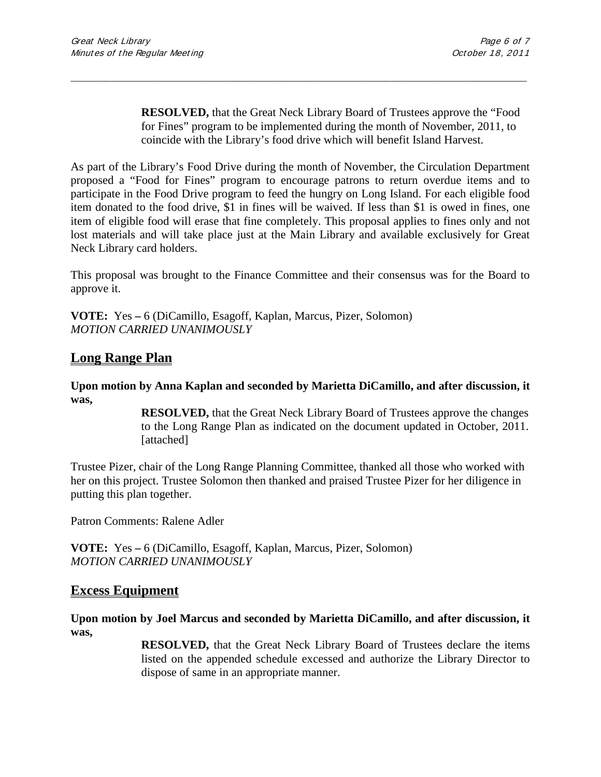**RESOLVED,** that the Great Neck Library Board of Trustees approve the "Food for Fines" program to be implemented during the month of November, 2011, to coincide with the Library's food drive which will benefit Island Harvest.

As part of the Library's Food Drive during the month of November, the Circulation Department proposed a "Food for Fines" program to encourage patrons to return overdue items and to participate in the Food Drive program to feed the hungry on Long Island. For each eligible food item donated to the food drive, \$1 in fines will be waived. If less than \$1 is owed in fines, one item of eligible food will erase that fine completely. This proposal applies to fines only and not lost materials and will take place just at the Main Library and available exclusively for Great Neck Library card holders.

\_\_\_\_\_\_\_\_\_\_\_\_\_\_\_\_\_\_\_\_\_\_\_\_\_\_\_\_\_\_\_\_\_\_\_\_\_\_\_\_\_\_\_\_\_\_\_\_\_\_\_\_\_\_\_\_\_\_\_\_\_\_\_\_\_\_\_\_\_\_\_\_\_\_\_\_\_\_\_\_\_\_\_\_\_\_\_\_\_\_\_\_\_

This proposal was brought to the Finance Committee and their consensus was for the Board to approve it.

**VOTE:** Yes **–** 6 (DiCamillo, Esagoff, Kaplan, Marcus, Pizer, Solomon) *MOTION CARRIED UNANIMOUSLY*

## **Long Range Plan**

**Upon motion by Anna Kaplan and seconded by Marietta DiCamillo, and after discussion, it was,**

> **RESOLVED,** that the Great Neck Library Board of Trustees approve the changes to the Long Range Plan as indicated on the document updated in October, 2011. [attached]

Trustee Pizer, chair of the Long Range Planning Committee, thanked all those who worked with her on this project. Trustee Solomon then thanked and praised Trustee Pizer for her diligence in putting this plan together.

Patron Comments: Ralene Adler

**VOTE:** Yes **–** 6 (DiCamillo, Esagoff, Kaplan, Marcus, Pizer, Solomon) *MOTION CARRIED UNANIMOUSLY*

### **Excess Equipment**

**Upon motion by Joel Marcus and seconded by Marietta DiCamillo, and after discussion, it was,**

> **RESOLVED,** that the Great Neck Library Board of Trustees declare the items listed on the appended schedule excessed and authorize the Library Director to dispose of same in an appropriate manner.